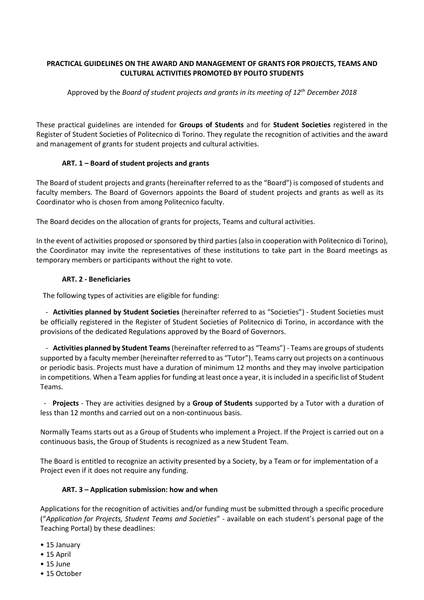## **PRACTICAL GUIDELINES ON THE AWARD AND MANAGEMENT OF GRANTS FOR PROJECTS, TEAMS AND CULTURAL ACTIVITIES PROMOTED BY POLITO STUDENTS**

Approved by the *Board of student projects and grants in its meeting of 12th December 2018*

These practical guidelines are intended for **Groups of Students** and for **Student Societies** registered in the Register of Student Societies of Politecnico di Torino. They regulate the recognition of activities and the award and management of grants for student projects and cultural activities.

# **ART. 1 – Board of student projects and grants**

The Board of student projects and grants (hereinafter referred to as the "Board") is composed of students and faculty members. The Board of Governors appoints the Board of student projects and grants as well as its Coordinator who is chosen from among Politecnico faculty.

The Board decides on the allocation of grants for projects, Teams and cultural activities.

In the event of activities proposed or sponsored by third parties (also in cooperation with Politecnico di Torino), the Coordinator may invite the representatives of these institutions to take part in the Board meetings as temporary members or participants without the right to vote.

# **ART. 2 - Beneficiaries**

The following types of activities are eligible for funding:

- **Activities planned by Student Societies** (hereinafter referred to as "Societies") - Student Societies must be officially registered in the Register of Student Societies of Politecnico di Torino, in accordance with the provisions of the dedicated Regulations approved by the Board of Governors.

- **Activities planned by Student Teams**(hereinafter referred to as "Teams") - Teams are groups of students supported by a faculty member (hereinafter referred to as "Tutor"). Teams carry out projects on a continuous or periodic basis. Projects must have a duration of minimum 12 months and they may involve participation in competitions. When a Team applies for funding at least once a year, it is included in a specific list of Student Teams.

- **Projects** - They are activities designed by a **Group of Students** supported by a Tutor with a duration of less than 12 months and carried out on a non-continuous basis.

Normally Teams starts out as a Group of Students who implement a Project. If the Project is carried out on a continuous basis, the Group of Students is recognized as a new Student Team.

The Board is entitled to recognize an activity presented by a Society, by a Team or for implementation of a Project even if it does not require any funding.

## **ART. 3 – Application submission: how and when**

Applications for the recognition of activities and/or funding must be submitted through a specific procedure ("*Application for Projects, Student Teams and Societies*" - available on each student's personal page of the Teaching Portal) by these deadlines:

- 15 January
- 15 April
- 15 June
- 15 October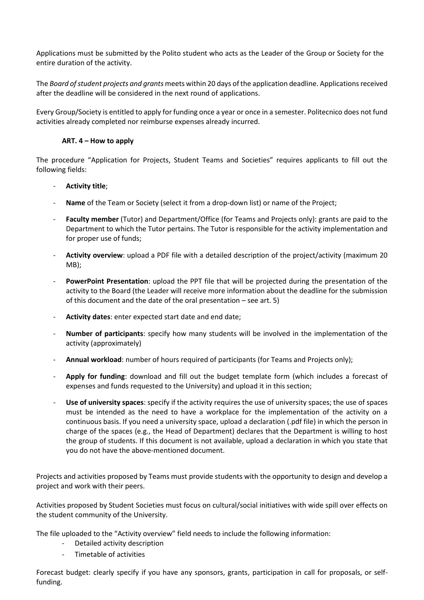Applications must be submitted by the Polito student who acts as the Leader of the Group or Society for the entire duration of the activity.

The *Board of student projects and grants* meets within 20 days of the application deadline. Applications received after the deadline will be considered in the next round of applications.

Every Group/Society is entitled to apply for funding once a year or once in a semester. Politecnico does not fund activities already completed nor reimburse expenses already incurred.

## **ART. 4 – How to apply**

The procedure "Application for Projects, Student Teams and Societies" requires applicants to fill out the following fields:

### - **Activity title**;

- **Name** of the Team or Society (select it from a drop-down list) or name of the Project;
- **Faculty member** (Tutor) and Department/Office (for Teams and Projects only): grants are paid to the Department to which the Tutor pertains. The Tutor is responsible for the activity implementation and for proper use of funds;
- **Activity overview**: upload a PDF file with a detailed description of the project/activity (maximum 20 MB);
- **PowerPoint Presentation**: upload the PPT file that will be projected during the presentation of the activity to the Board (the Leader will receive more information about the deadline for the submission of this document and the date of the oral presentation – see art. 5)
- **Activity dates**: enter expected start date and end date;
- **Number of participants**: specify how many students will be involved in the implementation of the activity (approximately)
- **Annual workload**: number of hours required of participants (for Teams and Projects only);
- **Apply for funding**: download and fill out the budget template form (which includes a forecast of expenses and funds requested to the University) and upload it in this section;
- **Use of university spaces**: specify if the activity requires the use of university spaces; the use of spaces must be intended as the need to have a workplace for the implementation of the activity on a continuous basis. If you need a university space, upload a declaration (.pdf file) in which the person in charge of the spaces (e.g., the Head of Department) declares that the Department is willing to host the group of students. If this document is not available, upload a declaration in which you state that you do not have the above-mentioned document.

Projects and activities proposed by Teams must provide students with the opportunity to design and develop a project and work with their peers.

Activities proposed by Student Societies must focus on cultural/social initiatives with wide spill over effects on the student community of the University.

The file uploaded to the "Activity overview" field needs to include the following information:

- Detailed activity description
- Timetable of activities

Forecast budget: clearly specify if you have any sponsors, grants, participation in call for proposals, or selffunding.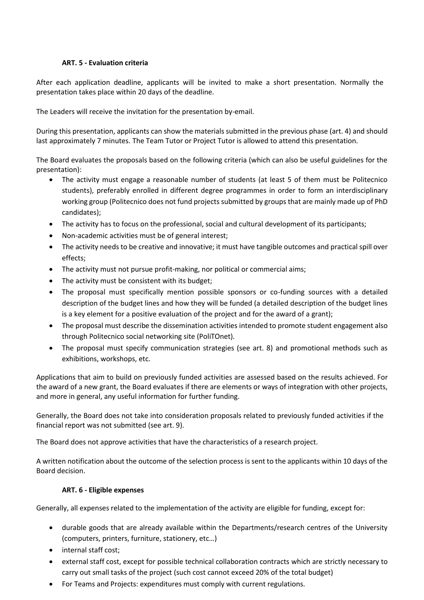## **ART. 5 - Evaluation criteria**

After each application deadline, applicants will be invited to make a short presentation. Normally the presentation takes place within 20 days of the deadline.

The Leaders will receive the invitation for the presentation by-email.

During this presentation, applicants can show the materials submitted in the previous phase (art. 4) and should last approximately 7 minutes. The Team Tutor or Project Tutor is allowed to attend this presentation.

The Board evaluates the proposals based on the following criteria (which can also be useful guidelines for the presentation):

- The activity must engage a reasonable number of students (at least 5 of them must be Politecnico students), preferably enrolled in different degree programmes in order to form an interdisciplinary working group (Politecnico does not fund projects submitted by groups that are mainly made up of PhD candidates);
- The activity has to focus on the professional, social and cultural development of its participants;
- Non-academic activities must be of general interest;
- The activity needs to be creative and innovative; it must have tangible outcomes and practical spill over effects;
- The activity must not pursue profit-making, nor political or commercial aims;
- The activity must be consistent with its budget;
- The proposal must specifically mention possible sponsors or co-funding sources with a detailed description of the budget lines and how they will be funded (a detailed description of the budget lines is a key element for a positive evaluation of the project and for the award of a grant);
- The proposal must describe the dissemination activities intended to promote student engagement also through Politecnico social networking site (PoliTOnet).
- The proposal must specify communication strategies (see art. 8) and promotional methods such as exhibitions, workshops, etc.

Applications that aim to build on previously funded activities are assessed based on the results achieved. For the award of a new grant, the Board evaluates if there are elements or ways of integration with other projects, and more in general, any useful information for further funding.

Generally, the Board does not take into consideration proposals related to previously funded activities if the financial report was not submitted (see art. 9).

The Board does not approve activities that have the characteristics of a research project.

A written notification about the outcome of the selection process is sent to the applicants within 10 days of the Board decision.

## **ART. 6 - Eligible expenses**

Generally, all expenses related to the implementation of the activity are eligible for funding, except for:

- durable goods that are already available within the Departments/research centres of the University (computers, printers, furniture, stationery, etc…)
- internal staff cost;
- external staff cost, except for possible technical collaboration contracts which are strictly necessary to carry out small tasks of the project (such cost cannot exceed 20% of the total budget)
- For Teams and Projects: expenditures must comply with current regulations.